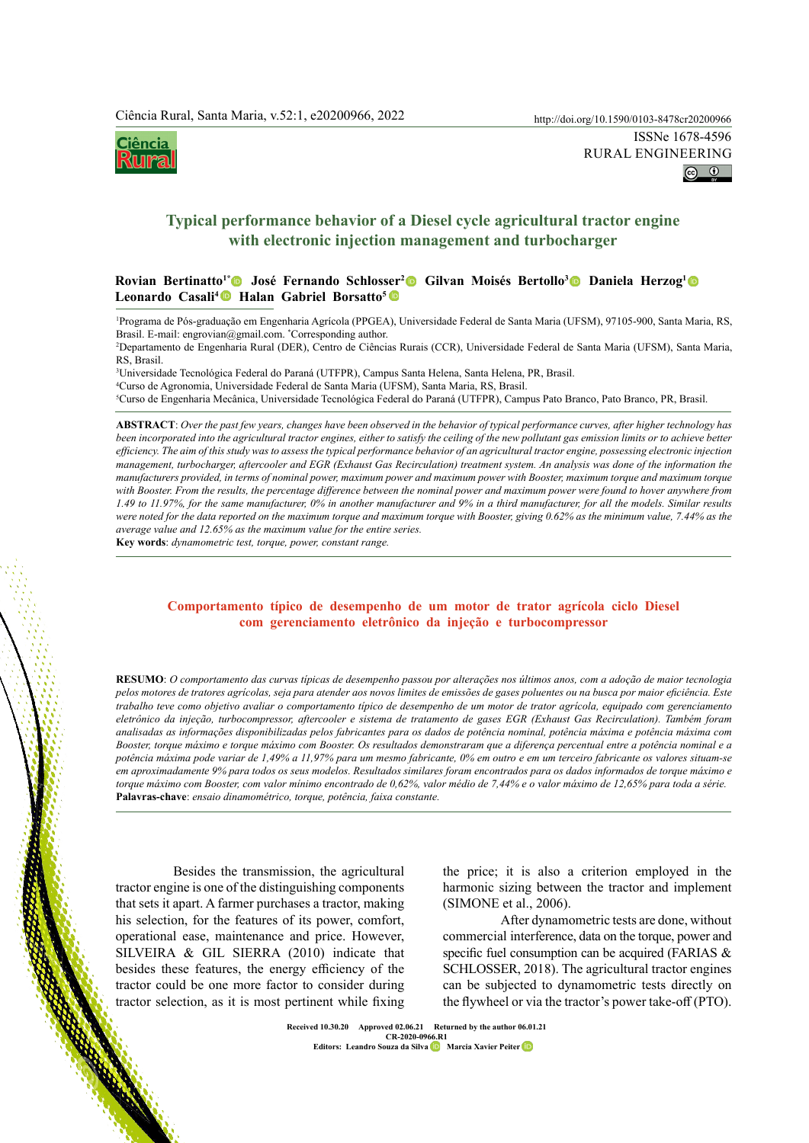Ciência  $\langle \Pi\Pi P \rangle$ 



# **Typical performance behavior of a Diesel cycle agricultural tractor engine with electronic injection management and turbocharger**

## Rovian Bertinatto<sup>1</sup>® José Fernando Schlosser<sup>2</sup>® Gilvan Moisés Bertollo<sup>3</sup>® Daniela Herzog<sup>1</sup>( Leonardo Casali<sup>4</sup><sup>®</sup> Halan Gabriel Borsatto<sup>5</sup>

1 Programa de Pós-graduação em Engenharia Agrícola (PPGEA), Universidade Federal de Santa Maria (UFSM), 97105-900, Santa Maria, RS, Brasil. E-mail: engrovian@gmail.com. \* Corresponding author. 2

Departamento de Engenharia Rural (DER), Centro de Ciências Rurais (CCR), Universidade Federal de Santa Maria (UFSM), Santa Maria, RS, Brasil.

3 Universidade Tecnológica Federal do Paraná (UTFPR), Campus Santa Helena, Santa Helena, PR, Brasil. 4 Curso de Agronomia, Universidade Federal de Santa Maria (UFSM), Santa Maria, RS, Brasil. 5 Curso de Engenharia Mecânica, Universidade Tecnológica Federal do Paraná (UTFPR), Campus Pato Branco, Pato Branco, PR, Brasil.

**ABSTRACT**: *Over the past few years, changes have been observed in the behavior of typical performance curves, after higher technology has*  been incorporated into the agricultural tractor engines, either to satisfy the ceiling of the new pollutant gas emission limits or to achieve better *efficiency. The aim of this study was to assess the typical performance behavior of an agricultural tractor engine, possessing electronic injection management, turbocharger, aftercooler and EGR (Exhaust Gas Recirculation) treatment system. An analysis was done of the information the manufacturers provided, in terms of nominal power, maximum power and maximum power with Booster, maximum torque and maximum torque with Booster. From the results, the percentage difference between the nominal power and maximum power were found to hover anywhere from 1.49 to 11.97%, for the same manufacturer, 0% in another manufacturer and 9% in a third manufacturer, for all the models. Similar results*  were noted for the data reported on the maximum torque and maximum torque with Booster, giving 0.62% as the minimum value, 7.44% as the *average value and 12.65% as the maximum value for the entire series.*

**Key words**: *dynamometric test, torque, power, constant range.*

# **Comportamento típico de desempenho de um motor de trator agrícola ciclo Diesel com gerenciamento eletrônico da injeção e turbocompressor**

 http://doi.org/10.1590/0103-8478cr20200966Besides the transmission, the agricultural **RESUMO**: *O comportamento das curvas típicas de desempenho passou por alterações nos últimos anos, com a adoção de maior tecnologia pelos motores de tratores agrícolas, seja para atender aos novos limites de emissões de gases poluentes ou na busca por maior eficiência. Este trabalho teve como objetivo avaliar o comportamento típico de desempenho de um motor de trator agrícola, equipado com gerenciamento eletrônico da injeção, turbocompressor, aftercooler e sistema de tratamento de gases EGR (Exhaust Gas Recirculation). Também foram analisadas as informações disponibilizadas pelos fabricantes para os dados de potência nominal, potência máxima e potência máxima com Booster, torque máximo e torque máximo com Booster. Os resultados demonstraram que a diferença percentual entre a potência nominal e a potência máxima pode variar de 1,49% a 11,97% para um mesmo fabricante, 0% em outro e em um terceiro fabricante os valores situam-se*  em aproximadamente 9% para todos os seus modelos. Resultados similares foram encontrados para os dados informados de torque máximo e *torque máximo com Booster, com valor mínimo encontrado de 0,62%, valor médio de 7,44% e o valor máximo de 12,65% para toda a série.* **Palavras-chave**: *ensaio dinamométrico, torque, potência, faixa constante.*

tractor engine is one of the distinguishing components that sets it apart. A farmer purchases a tractor, making his selection, for the features of its power, comfort, operational ease, maintenance and price. However, SILVEIRA & GIL SIERRA (2010) indicate that besides these features, the energy efficiency of the tractor could be one more factor to consider during tractor selection, as it is most pertinent while fixing

the price; it is also a criterion employed in the harmonic sizing between the tractor and implement (SIMONE et al., 2006).

After dynamometric tests are done, without commercial interference, data on the torque, power and specific fuel consumption can be acquired (FARIAS & SCHLOSSER, 2018). The agricultural tractor engines can be subjected to dynamometric tests directly on the flywheel or via the tractor's power take-off (PTO).

**Ciência Rural, v.52, n.1, 2022. Received 10.30.20 Approved 02.06.21 Returned by the author 06.01.21 CR-2020-0966.R1 Editors: Leandro Souza da Silv[a](https://orcid.org/0000-0002-1636-6643) Marcia Xavier Peite[r](https://orcid.org/0000-0001-8945-5412)**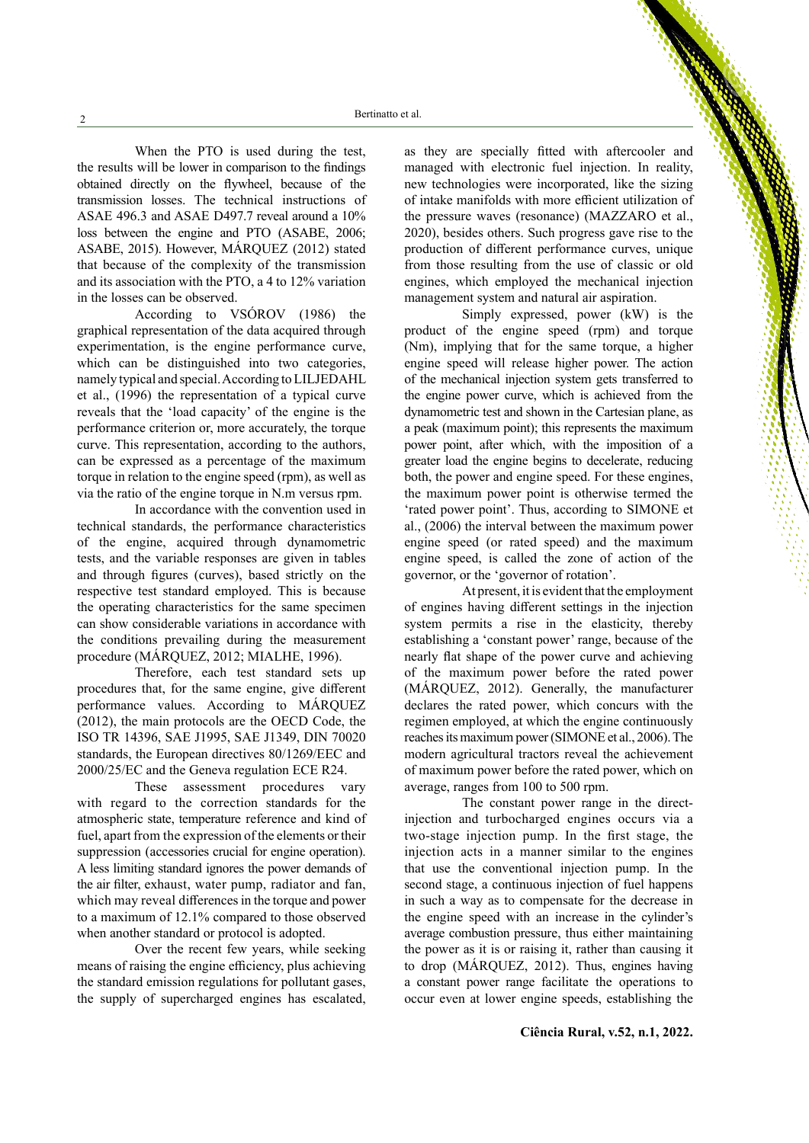When the PTO is used during the test, the results will be lower in comparison to the findings obtained directly on the flywheel, because of the transmission losses. The technical instructions of ASAE 496.3 and ASAE D497.7 reveal around a 10% loss between the engine and PTO (ASABE, 2006; ASABE, 2015). However, MÁRQUEZ (2012) stated that because of the complexity of the transmission and its association with the PTO, a 4 to 12% variation in the losses can be observed.

According to VSÓROV (1986) the graphical representation of the data acquired through experimentation, is the engine performance curve, which can be distinguished into two categories, namely typical and special. According to LILJEDAHL et al., (1996) the representation of a typical curve reveals that the 'load capacity' of the engine is the performance criterion or, more accurately, the torque curve. This representation, according to the authors, can be expressed as a percentage of the maximum torque in relation to the engine speed (rpm), as well as via the ratio of the engine torque in N.m versus rpm.

In accordance with the convention used in technical standards, the performance characteristics of the engine, acquired through dynamometric tests, and the variable responses are given in tables and through figures (curves), based strictly on the respective test standard employed. This is because the operating characteristics for the same specimen can show considerable variations in accordance with the conditions prevailing during the measurement procedure (MÁRQUEZ, 2012; MIALHE, 1996).

Therefore, each test standard sets up procedures that, for the same engine, give different performance values. According to MÁRQUEZ (2012), the main protocols are the OECD Code, the ISO TR 14396, SAE J1995, SAE J1349, DIN 70020 standards, the European directives 80/1269/EEC and 2000/25/EC and the Geneva regulation ECE R24.

These assessment procedures vary with regard to the correction standards for the atmospheric state, temperature reference and kind of fuel, apart from the expression of the elements or their suppression (accessories crucial for engine operation). A less limiting standard ignores the power demands of the air filter, exhaust, water pump, radiator and fan, which may reveal differences in the torque and power to a maximum of 12.1% compared to those observed when another standard or protocol is adopted.

Over the recent few years, while seeking means of raising the engine efficiency, plus achieving the standard emission regulations for pollutant gases, the supply of supercharged engines has escalated,

as they are specially fitted with aftercooler and managed with electronic fuel injection. In reality, new technologies were incorporated, like the sizing of intake manifolds with more efficient utilization of the pressure waves (resonance) (MAZZARO et al., 2020), besides others. Such progress gave rise to the production of different performance curves, unique from those resulting from the use of classic or old engines, which employed the mechanical injection management system and natural air aspiration.

Simply expressed, power (kW) is the product of the engine speed (rpm) and torque (Nm), implying that for the same torque, a higher engine speed will release higher power. The action of the mechanical injection system gets transferred to the engine power curve, which is achieved from the dynamometric test and shown in the Cartesian plane, as a peak (maximum point); this represents the maximum power point, after which, with the imposition of a greater load the engine begins to decelerate, reducing both, the power and engine speed. For these engines, the maximum power point is otherwise termed the 'rated power point'. Thus, according to SIMONE et al., (2006) the interval between the maximum power engine speed (or rated speed) and the maximum engine speed, is called the zone of action of the governor, or the 'governor of rotation'.

At present, it is evident that the employment of engines having different settings in the injection system permits a rise in the elasticity, thereby establishing a 'constant power' range, because of the nearly flat shape of the power curve and achieving of the maximum power before the rated power (MÁRQUEZ, 2012). Generally, the manufacturer declares the rated power, which concurs with the regimen employed, at which the engine continuously reaches its maximum power (SIMONE et al., 2006). The modern agricultural tractors reveal the achievement of maximum power before the rated power, which on average, ranges from 100 to 500 rpm.

The constant power range in the directinjection and turbocharged engines occurs via a two-stage injection pump. In the first stage, the injection acts in a manner similar to the engines that use the conventional injection pump. In the second stage, a continuous injection of fuel happens in such a way as to compensate for the decrease in the engine speed with an increase in the cylinder's average combustion pressure, thus either maintaining the power as it is or raising it, rather than causing it to drop (MÁRQUEZ, 2012). Thus, engines having a constant power range facilitate the operations to occur even at lower engine speeds, establishing the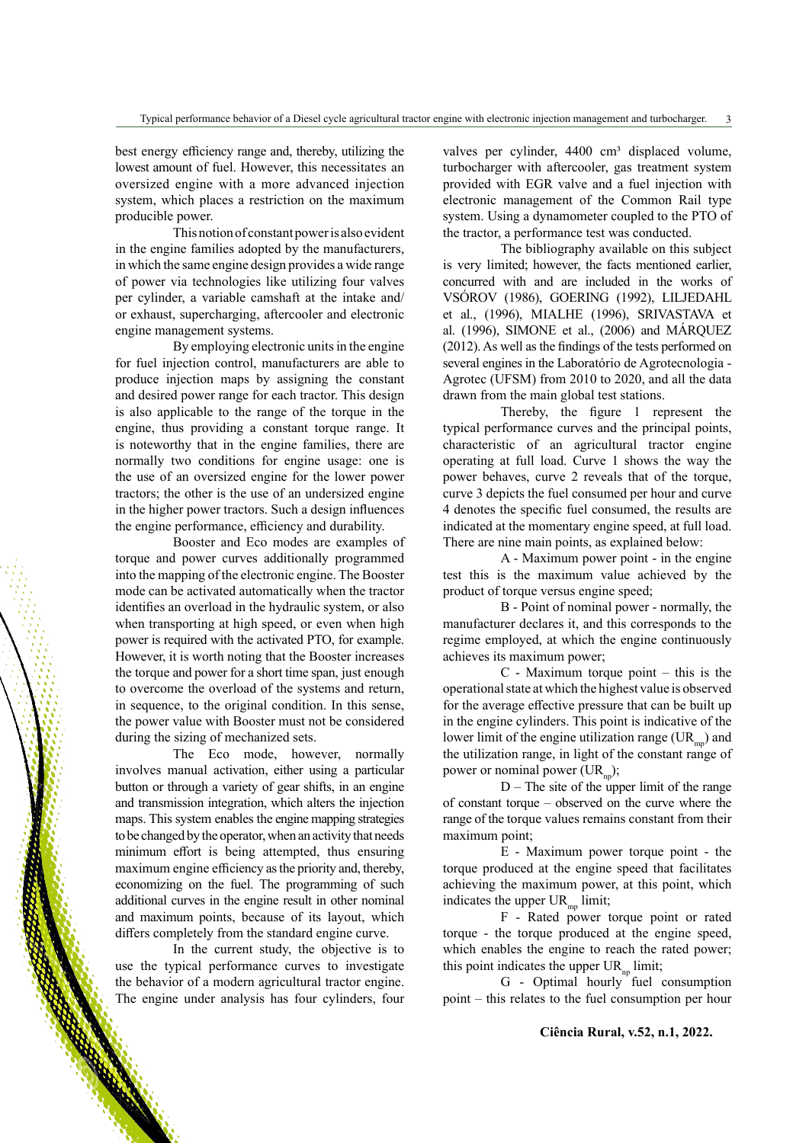best energy efficiency range and, thereby, utilizing the lowest amount of fuel. However, this necessitates an oversized engine with a more advanced injection system, which places a restriction on the maximum producible power.

This notion of constant power is also evident in the engine families adopted by the manufacturers, in which the same engine design provides a wide range of power via technologies like utilizing four valves per cylinder, a variable camshaft at the intake and/ or exhaust, supercharging, aftercooler and electronic engine management systems.

By employing electronic units in the engine for fuel injection control, manufacturers are able to produce injection maps by assigning the constant and desired power range for each tractor. This design is also applicable to the range of the torque in the engine, thus providing a constant torque range. It is noteworthy that in the engine families, there are normally two conditions for engine usage: one is the use of an oversized engine for the lower power tractors; the other is the use of an undersized engine in the higher power tractors. Such a design influences the engine performance, efficiency and durability.

Booster and Eco modes are examples of torque and power curves additionally programmed into the mapping of the electronic engine. The Booster mode can be activated automatically when the tractor identifies an overload in the hydraulic system, or also when transporting at high speed, or even when high power is required with the activated PTO, for example. However, it is worth noting that the Booster increases the torque and power for a short time span, just enough to overcome the overload of the systems and return, in sequence, to the original condition. In this sense, the power value with Booster must not be considered during the sizing of mechanized sets.

The Eco mode, however, normally involves manual activation, either using a particular button or through a variety of gear shifts, in an engine and transmission integration, which alters the injection maps. This system enables the engine mapping strategies to be changed by the operator, when an activity that needs minimum effort is being attempted, thus ensuring maximum engine efficiency as the priority and, thereby, economizing on the fuel. The programming of such additional curves in the engine result in other nominal and maximum points, because of its layout, which differs completely from the standard engine curve.

In the current study, the objective is to use the typical performance curves to investigate the behavior of a modern agricultural tractor engine. The engine under analysis has four cylinders, four valves per cylinder, 4400 cm<sup>3</sup> displaced volume, turbocharger with aftercooler, gas treatment system provided with EGR valve and a fuel injection with electronic management of the Common Rail type system. Using a dynamometer coupled to the PTO of the tractor, a performance test was conducted.

The bibliography available on this subject is very limited; however, the facts mentioned earlier, concurred with and are included in the works of VSÓROV (1986), GOERING (1992), LILJEDAHL et al., (1996), MIALHE (1996), SRIVASTAVA et al. (1996), SIMONE et al., (2006) and MÁRQUEZ (2012). As well as the findings of the tests performed on several engines in the Laboratório de Agrotecnologia - Agrotec (UFSM) from 2010 to 2020, and all the data drawn from the main global test stations.

Thereby, the figure 1 represent the typical performance curves and the principal points, characteristic of an agricultural tractor engine operating at full load. Curve 1 shows the way the power behaves, curve 2 reveals that of the torque, curve 3 depicts the fuel consumed per hour and curve 4 denotes the specific fuel consumed, the results are indicated at the momentary engine speed, at full load. There are nine main points, as explained below:

A - Maximum power point - in the engine test this is the maximum value achieved by the product of torque versus engine speed;

B - Point of nominal power - normally, the manufacturer declares it, and this corresponds to the regime employed, at which the engine continuously achieves its maximum power;

C - Maximum torque point – this is the operational state at which the highest value is observed for the average effective pressure that can be built up in the engine cylinders. This point is indicative of the lower limit of the engine utilization range  $(\text{UR}_{\text{mp}})$  and the utilization range, in light of the constant range of power or nominal power  $(UR_n)$ ;

 $D$  – The site of the upper limit of the range of constant torque – observed on the curve where the range of the torque values remains constant from their maximum point;

E - Maximum power torque point - the torque produced at the engine speed that facilitates achieving the maximum power, at this point, which indicates the upper  $UR_{\text{mp}}$  limit;

F - Rated power torque point or rated torque - the torque produced at the engine speed, which enables the engine to reach the rated power; this point indicates the upper  $UR_{np}$  limit;

G - Optimal hourly fuel consumption point – this relates to the fuel consumption per hour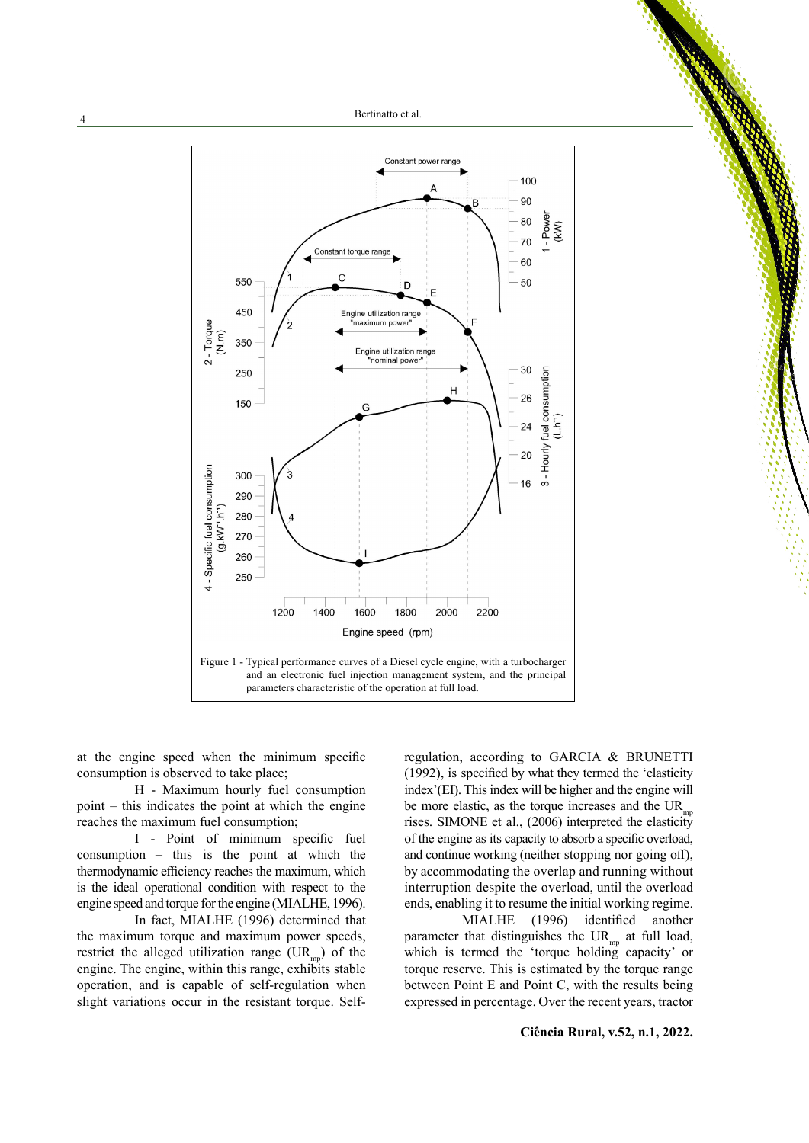Bertinatto et al.



at the engine speed when the minimum specific consumption is observed to take place;

H - Maximum hourly fuel consumption point – this indicates the point at which the engine reaches the maximum fuel consumption;

I - Point of minimum specific fuel consumption – this is the point at which the thermodynamic efficiency reaches the maximum, which is the ideal operational condition with respect to the engine speed and torque for the engine (MIALHE, 1996).

In fact, MIALHE (1996) determined that the maximum torque and maximum power speeds, restrict the alleged utilization range  $(UR_{mn})$  of the engine. The engine, within this range, exhibits stable operation, and is capable of self-regulation when slight variations occur in the resistant torque. Selfregulation, according to GARCIA & BRUNETTI (1992), is specified by what they termed the 'elasticity index'(EI). This index will be higher and the engine will be more elastic, as the torque increases and the  $UR_{\text{mp}}$ rises. SIMONE et al., (2006) interpreted the elasticity of the engine as its capacity to absorb a specific overload, and continue working (neither stopping nor going off), by accommodating the overlap and running without interruption despite the overload, until the overload ends, enabling it to resume the initial working regime.

MIALHE (1996) identified another parameter that distinguishes the  $UR_{mp}$  at full load, which is termed the 'torque holding capacity' or torque reserve. This is estimated by the torque range between Point E and Point C, with the results being expressed in percentage. Over the recent years, tractor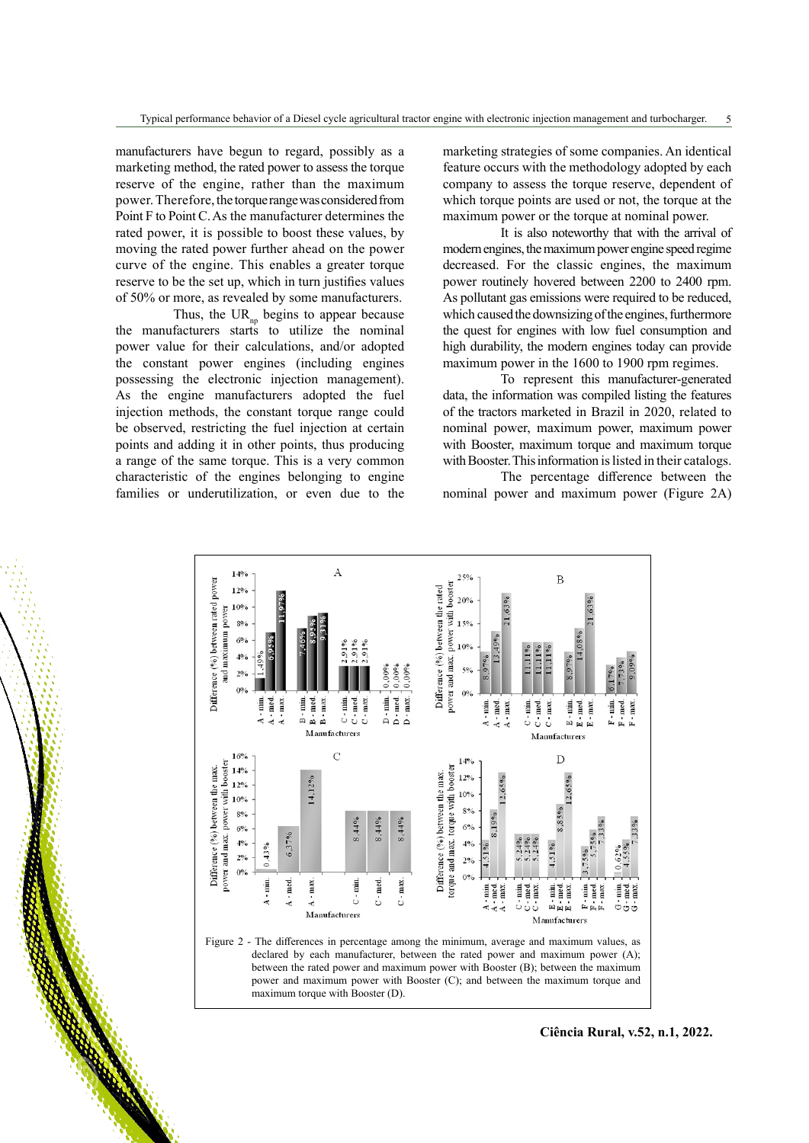manufacturers have begun to regard, possibly as a marketing method, the rated power to assess the torque reserve of the engine, rather than the maximum power. Therefore, the torque range was considered from Point F to Point C. As the manufacturer determines the rated power, it is possible to boost these values, by moving the rated power further ahead on the power curve of the engine. This enables a greater torque reserve to be the set up, which in turn justifies values of 50% or more, as revealed by some manufacturers.

Thus, the UR<sub>np</sub> begins to appear because the manufacturers starts to utilize the nominal power value for their calculations, and/or adopted the constant power engines (including engines possessing the electronic injection management). As the engine manufacturers adopted the fuel injection methods, the constant torque range could be observed, restricting the fuel injection at certain points and adding it in other points, thus producing a range of the same torque. This is a very common characteristic of the engines belonging to engine families or underutilization, or even due to the marketing strategies of some companies. An identical feature occurs with the methodology adopted by each company to assess the torque reserve, dependent of which torque points are used or not, the torque at the maximum power or the torque at nominal power.

It is also noteworthy that with the arrival of modern engines, the maximum power engine speed regime decreased. For the classic engines, the maximum power routinely hovered between 2200 to 2400 rpm. As pollutant gas emissions were required to be reduced, which caused the downsizing of the engines, furthermore the quest for engines with low fuel consumption and high durability, the modern engines today can provide maximum power in the 1600 to 1900 rpm regimes.

To represent this manufacturer-generated data, the information was compiled listing the features of the tractors marketed in Brazil in 2020, related to nominal power, maximum power, maximum power with Booster, maximum torque and maximum torque with Booster. This information is listed in their catalogs.

The percentage difference between the nominal power and maximum power (Figure 2A)



**Ciência Rural, v.52, n.1, 2022.**